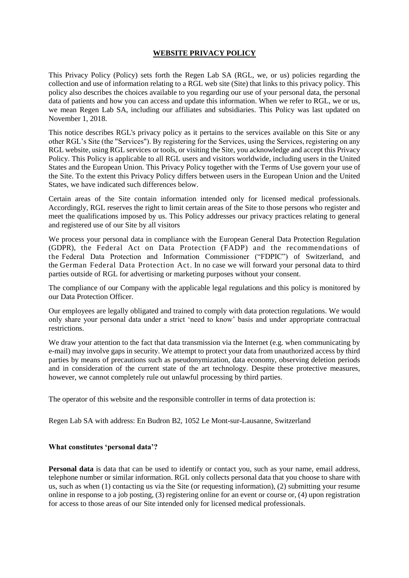# **WEBSITE PRIVACY POLICY**

This Privacy Policy (Policy) sets forth the Regen Lab SA (RGL, we, or us) policies regarding the collection and use of information relating to a RGL web site (Site) that links to this privacy policy. This policy also describes the choices available to you regarding our use of your personal data, the personal data of patients and how you can access and update this information. When we refer to RGL, we or us, we mean Regen Lab SA, including our affiliates and subsidiaries. This Policy was last updated on November 1, 2018.

This notice describes RGL's privacy policy as it pertains to the services available on this Site or any other RGL's Site (the "Services"). By registering for the Services, using the Services, registering on any RGL website, using RGL services or tools, or visiting the Site, you acknowledge and accept this Privacy Policy. This Policy is applicable to all RGL users and visitors worldwide, including users in the United States and the European Union. This Privacy Policy together with the Terms of Use govern your use of the Site. To the extent this Privacy Policy differs between users in the European Union and the United States, we have indicated such differences below.

Certain areas of the Site contain information intended only for licensed medical professionals. Accordingly, RGL reserves the right to limit certain areas of the Site to those persons who register and meet the qualifications imposed by us. This Policy addresses our privacy practices relating to general and registered use of our Site by all visitors

We process your personal data in compliance with the European General Data Protection Regulation (GDPR), the Federal Act on Data Protection (FADP) and the recommendations of the Federal Data Protection and Information Commissioner ("FDPIC") of Switzerland, and the German Federal Data Protection Act. In no case we will forward your personal data to third parties outside of RGL for advertising or marketing purposes without your consent.

The compliance of our Company with the applicable legal regulations and this policy is monitored by our Data Protection Officer.

Our employees are legally obligated and trained to comply with data protection regulations. We would only share your personal data under a strict 'need to know' basis and under appropriate contractual restrictions.

We draw your attention to the fact that data transmission via the Internet (e.g. when communicating by e-mail) may involve gaps in security. We attempt to protect your data from unauthorized access by third parties by means of precautions such as pseudonymization, data economy, observing deletion periods and in consideration of the current state of the art technology. Despite these protective measures, however, we cannot completely rule out unlawful processing by third parties.

The operator of this website and the responsible controller in terms of data protection is:

Regen Lab SA with address: En Budron B2, 1052 Le Mont-sur-Lausanne, Switzerland

## **What constitutes 'personal data'?**

**Personal data** is data that can be used to identify or contact you, such as your name, email address, telephone number or similar information. RGL only collects personal data that you choose to share with us, such as when (1) contacting us via the Site (or requesting information), (2) submitting your resume online in response to a job posting, (3) registering online for an event or course or, (4) upon registration for access to those areas of our Site intended only for licensed medical professionals.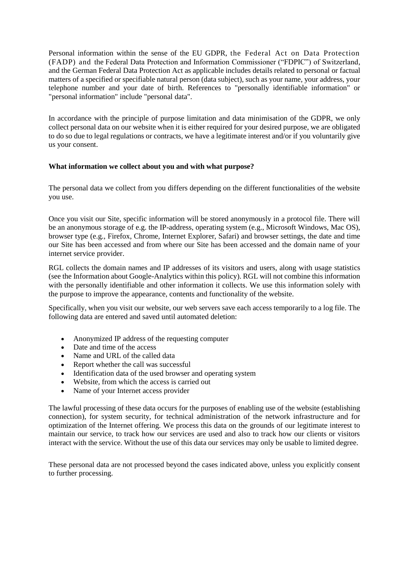Personal information within the sense of the EU GDPR, the Federal Act on Data Protection (FADP) and the Federal Data Protection and Information Commissioner ("FDPIC") of Switzerland, and the German Federal Data Protection Act as applicable includes details related to personal or factual matters of a specified or specifiable natural person (data subject), such as your name, your address, your telephone number and your date of birth. References to "personally identifiable information" or "personal information" include "personal data".

In accordance with the principle of purpose limitation and data minimisation of the GDPR, we only collect personal data on our website when it is either required for your desired purpose, we are obligated to do so due to legal regulations or contracts, we have a legitimate interest and/or if you voluntarily give us your consent.

# **What information we collect about you and with what purpose?**

The personal data we collect from you differs depending on the different functionalities of the website you use.

Once you visit our Site, specific information will be stored anonymously in a protocol file. There will be an anonymous storage of e.g. the IP-address, operating system (e.g., Microsoft Windows, Mac OS), browser type (e.g., Firefox, Chrome, Internet Explorer, Safari) and browser settings, the date and time our Site has been accessed and from where our Site has been accessed and the domain name of your internet service provider.

RGL collects the domain names and IP addresses of its visitors and users, along with usage statistics (see the Information about Google-Analytics within this policy). RGL will not combine this information with the personally identifiable and other information it collects. We use this information solely with the purpose to improve the appearance, contents and functionality of the website.

Specifically, when you visit our website, our web servers save each access temporarily to a log file. The following data are entered and saved until automated deletion:

- Anonymized IP address of the requesting computer
- Date and time of the access
- Name and URL of the called data
- Report whether the call was successful
- Identification data of the used browser and operating system
- Website, from which the access is carried out
- Name of your Internet access provider

The lawful processing of these data occurs for the purposes of enabling use of the website (establishing connection), for system security, for technical administration of the network infrastructure and for optimization of the Internet offering. We process this data on the grounds of our legitimate interest to maintain our service, to track how our services are used and also to track how our clients or visitors interact with the service. Without the use of this data our services may only be usable to limited degree.

These personal data are not processed beyond the cases indicated above, unless you explicitly consent to further processing.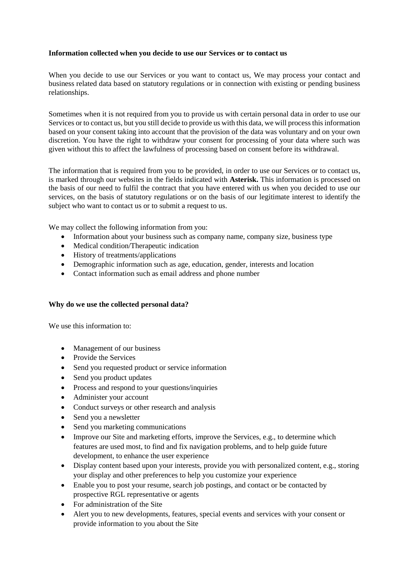## **Information collected when you decide to use our Services or to contact us**

When you decide to use our Services or you want to contact us, We may process your contact and business related data based on statutory regulations or in connection with existing or pending business relationships.

Sometimes when it is not required from you to provide us with certain personal data in order to use our Services or to contact us, but you still decide to provide us with this data, we will process this information based on your consent taking into account that the provision of the data was voluntary and on your own discretion. You have the right to withdraw your consent for processing of your data where such was given without this to affect the lawfulness of processing based on consent before its withdrawal.

The information that is required from you to be provided, in order to use our Services or to contact us, is marked through our websites in the fields indicated with **Asterisk.** This information is processed on the basis of our need to fulfil the contract that you have entered with us when you decided to use our services, on the basis of statutory regulations or on the basis of our legitimate interest to identify the subject who want to contact us or to submit a request to us.

We may collect the following information from you:

- Information about your business such as company name, company size, business type
- Medical condition/Therapeutic indication
- History of treatments/applications
- Demographic information such as age, education, gender, interests and location
- Contact information such as email address and phone number

## **Why do we use the collected personal data?**

We use this information to:

- Management of our business
- Provide the Services
- Send you requested product or service information
- Send you product updates
- Process and respond to your questions/inquiries
- Administer your account
- Conduct surveys or other research and analysis
- Send you a newsletter
- Send you marketing communications
- Improve our Site and marketing efforts, improve the Services, e.g., to determine which features are used most, to find and fix navigation problems, and to help guide future development, to enhance the user experience
- Display content based upon your interests, provide you with personalized content, e.g., storing your display and other preferences to help you customize your experience
- Enable you to post your resume, search job postings, and contact or be contacted by prospective RGL representative or agents
- For administration of the Site
- Alert you to new developments, features, special events and services with your consent or provide information to you about the Site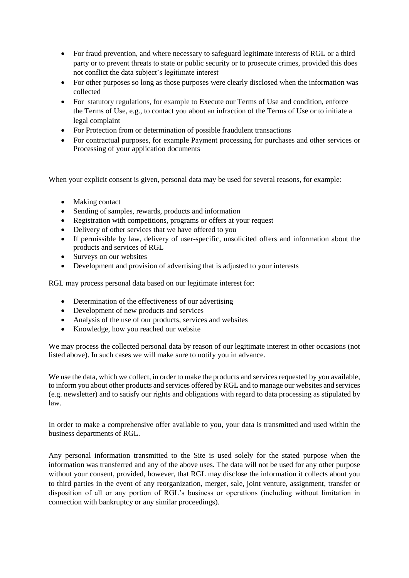- For fraud prevention, and where necessary to safeguard legitimate interests of RGL or a third party or to prevent threats to state or public security or to prosecute crimes, provided this does not conflict the data subject's legitimate interest
- For other purposes so long as those purposes were clearly disclosed when the information was collected
- For statutory regulations, for example to Execute our Terms of Use and condition, enforce the Terms of Use, e.g., to contact you about an infraction of the Terms of Use or to initiate a legal complaint
- For Protection from or determination of possible fraudulent transactions
- For contractual purposes, for example Payment processing for purchases and other services or Processing of your application documents

When your explicit consent is given, personal data may be used for several reasons, for example:

- Making contact
- Sending of samples, rewards, products and information
- Registration with competitions, programs or offers at your request
- Delivery of other services that we have offered to you
- If permissible by law, delivery of user-specific, unsolicited offers and information about the products and services of RGL
- Surveys on our websites
- Development and provision of advertising that is adjusted to your interests

RGL may process personal data based on our legitimate interest for:

- Determination of the effectiveness of our advertising
- Development of new products and services
- Analysis of the use of our products, services and websites
- Knowledge, how you reached our website

We may process the collected personal data by reason of our legitimate interest in other occasions (not listed above). In such cases we will make sure to notify you in advance.

We use the data, which we collect, in order to make the products and services requested by you available, to inform you about other products and services offered by RGL and to manage our websites and services (e.g. newsletter) and to satisfy our rights and obligations with regard to data processing as stipulated by law.

In order to make a comprehensive offer available to you, your data is transmitted and used within the business departments of RGL.

Any personal information transmitted to the Site is used solely for the stated purpose when the information was transferred and any of the above uses. The data will not be used for any other purpose without your consent, provided, however, that RGL may disclose the information it collects about you to third parties in the event of any reorganization, merger, sale, joint venture, assignment, transfer or disposition of all or any portion of RGL's business or operations (including without limitation in connection with bankruptcy or any similar proceedings).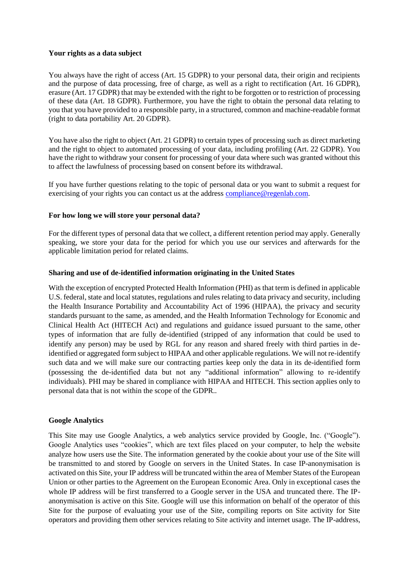## **Your rights as a data subject**

You always have the right of access (Art. 15 GDPR) to your personal data, their origin and recipients and the purpose of data processing, free of charge, as well as a right to rectification (Art. 16 GDPR), erasure (Art. 17 GDPR) that may be extended with the right to be forgotten or to restriction of processing of these data (Art. 18 GDPR). Furthermore, you have the right to obtain the personal data relating to you that you have provided to a responsible party, in a structured, common and machine-readable format (right to data portability Art. 20 GDPR).

You have also the right to object (Art. 21 GDPR) to certain types of processing such as direct marketing and the right to object to automated processing of your data, including profiling (Art. 22 GDPR). You have the right to withdraw your consent for processing of your data where such was granted without this to affect the lawfulness of processing based on consent before its withdrawal.

If you have further questions relating to the topic of personal data or you want to submit a request for exercising of your rights you can contact us at the address [compliance@regenlab.com.](mailto:compliance@regenlab.com)

# **For how long we will store your personal data?**

For the different types of personal data that we collect, a different retention period may apply. Generally speaking, we store your data for the period for which you use our services and afterwards for the applicable limitation period for related claims.

## **Sharing and use of de-identified information originating in the United States**

With the exception of encrypted Protected Health Information (PHI) as that term is defined in applicable U.S. federal, state and local statutes, regulations and rules relating to data privacy and security, including the Health Insurance Portability and Accountability Act of 1996 (HIPAA), the privacy and security standards pursuant to the same, as amended, and the Health Information Technology for Economic and Clinical Health Act (HITECH Act) and regulations and guidance issued pursuant to the same, other types of information that are fully de-identified (stripped of any information that could be used to identify any person) may be used by RGL for any reason and shared freely with third parties in deidentified or aggregated form subject to HIPAA and other applicable regulations. We will not re-identify such data and we will make sure our contracting parties keep only the data in its de-identified form (possessing the de-identified data but not any "additional information" allowing to re-identify individuals). PHI may be shared in compliance with HIPAA and HITECH. This section applies only to personal data that is not within the scope of the GDPR..

## **Google Analytics**

This Site may use Google Analytics, a web analytics service provided by Google, Inc. ("Google"). Google Analytics uses "cookies", which are text files placed on your computer, to help the website analyze how users use the Site. The information generated by the cookie about your use of the Site will be transmitted to and stored by Google on servers in the United States. In case IP-anonymisation is activated on this Site, your IP address will be truncated within the area of Member States of the European Union or other parties to the Agreement on the European Economic Area. Only in exceptional cases the whole IP address will be first transferred to a Google server in the USA and truncated there. The IPanonymisation is active on this Site. Google will use this information on behalf of the operator of this Site for the purpose of evaluating your use of the Site, compiling reports on Site activity for Site operators and providing them other services relating to Site activity and internet usage. The IP-address,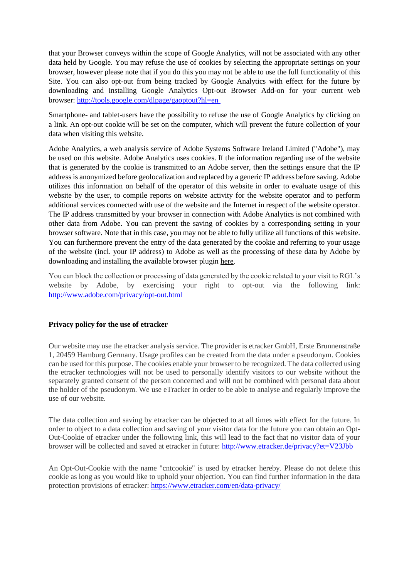that your Browser conveys within the scope of Google Analytics, will not be associated with any other data held by Google. You may refuse the use of cookies by selecting the appropriate settings on your browser, however please note that if you do this you may not be able to use the full functionality of this Site. You can also opt-out from being tracked by Google Analytics with effect for the future by downloading and installing Google Analytics Opt-out Browser Add-on for your current web browser: http://tools.google.com/dlpage/gaoptout?hl=en

Smartphone- and tablet-users have the possibility to refuse the use of Google Analytics by clicking on a link. An opt-out cookie will be set on the computer, which will prevent the future collection of your data when visiting this website.

Adobe Analytics, a web analysis service of Adobe Systems Software Ireland Limited ("Adobe"), may be used on this website. Adobe Analytics uses cookies. If the information regarding use of the website that is generated by the cookie is transmitted to an Adobe server, then the settings ensure that the IP address is anonymized before geolocalization and replaced by a generic IP address before saving. Adobe utilizes this information on behalf of the operator of this website in order to evaluate usage of this website by the user, to compile reports on website activity for the website operator and to perform additional services connected with use of the website and the Internet in respect of the website operator. The IP address transmitted by your browser in connection with Adobe Analytics is not combined with other data from Adobe. You can prevent the saving of cookies by a corresponding setting in your browser software. Note that in this case, you may not be able to fully utilize all functions of this website. You can furthermore prevent the entry of the data generated by the cookie and referring to your usage of the website (incl. your IP address) to Adobe as well as the processing of these data by Adobe by downloading and installing the available browser plugin [here.](http://www.adobe.com/de/privacy/opt-out.html)

You can block the collection or processing of data generated by the cookie related to your visit to RGL's website by Adobe, by exercising your right to opt-out via the following link: <http://www.adobe.com/privacy/opt-out.html>

## **Privacy policy for the use of etracker**

Our website may use the etracker analysis service. The provider is etracker GmbH, Erste Brunnenstraße 1, 20459 Hamburg Germany. Usage profiles can be created from the data under a pseudonym. Cookies can be used for this purpose. The cookies enable your browser to be recognized. The data collected using the etracker technologies will not be used to personally identify visitors to our website without the separately granted consent of the person concerned and will not be combined with personal data about the holder of the pseudonym. We use eTracker in order to be able to analyse and regularly improve the use of our website.

The data collection and saving by etracker can be [objected to](http://www.etracker.de/privacy?sid=63d592b773982b87e7eb22eaada97b15&id=privacy&et=pTmQj9&languageId=2) at all times with effect for the future. In order to object to a data collection and saving of your visitor data for the future you can obtain an Opt-Out-Cookie of etracker under the following link, this will lead to the fact that no visitor data of your browser will be collected and saved at etracker in future:<http://www.etracker.de/privacy?et=V23Jbb>

An Opt-Out-Cookie with the name "cntcookie" is used by etracker hereby. Please do not delete this cookie as long as you would like to uphold your objection. You can find further information in the data protection provisions of etracker: <https://www.etracker.com/en/data-privacy/>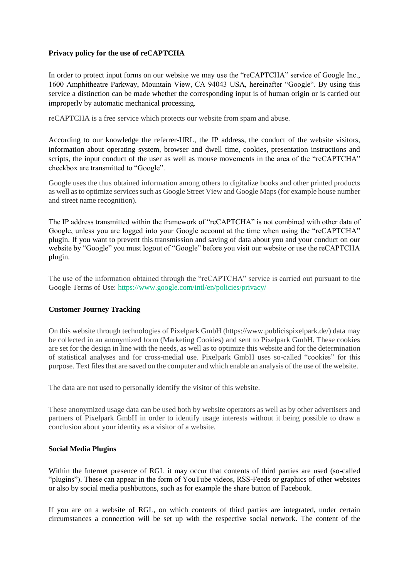## **Privacy policy for the use of reCAPTCHA**

In order to protect input forms on our website we may use the "reCAPTCHA" service of Google Inc., 1600 Amphitheatre Parkway, Mountain View, CA 94043 USA, hereinafter "Google". By using this service a distinction can be made whether the corresponding input is of human origin or is carried out improperly by automatic mechanical processing.

reCAPTCHA is a free service which protects our website from spam and abuse.

According to our knowledge the referrer-URL, the IP address, the conduct of the website visitors, information about operating system, browser and dwell time, cookies, presentation instructions and scripts, the input conduct of the user as well as mouse movements in the area of the "reCAPTCHA" checkbox are transmitted to "Google".

Google uses the thus obtained information among others to digitalize books and other printed products as well as to optimize services such as Google Street View and Google Maps (for example house number and street name recognition).

The IP address transmitted within the framework of "reCAPTCHA" is not combined with other data of Google, unless you are logged into your Google account at the time when using the "reCAPTCHA" plugin. If you want to prevent this transmission and saving of data about you and your conduct on our website by "Google" you must logout of "Google" before you visit our website or use the reCAPTCHA plugin.

The use of the information obtained through the "reCAPTCHA" service is carried out pursuant to the Google Terms of Use: <https://www.google.com/intl/en/policies/privacy/>

# **Customer Journey Tracking**

On this website through technologies of Pixelpark GmbH (https://www.publicispixelpark.de/) data may be collected in an anonymized form (Marketing Cookies) and sent to Pixelpark GmbH. These cookies are set for the design in line with the needs, as well as to optimize this website and for the determination of statistical analyses and for cross-medial use. Pixelpark GmbH uses so-called "cookies" for this purpose. Text files that are saved on the computer and which enable an analysis of the use of the website.

The data are not used to personally identify the visitor of this website.

These anonymized usage data can be used both by website operators as well as by other advertisers and partners of Pixelpark GmbH in order to identify usage interests without it being possible to draw a conclusion about your identity as a visitor of a website.

## **Social Media Plugins**

Within the Internet presence of RGL it may occur that contents of third parties are used (so-called "plugins"). These can appear in the form of YouTube videos, RSS-Feeds or graphics of other websites or also by social media pushbuttons, such as for example the share button of Facebook.

If you are on a website of RGL, on which contents of third parties are integrated, under certain circumstances a connection will be set up with the respective social network. The content of the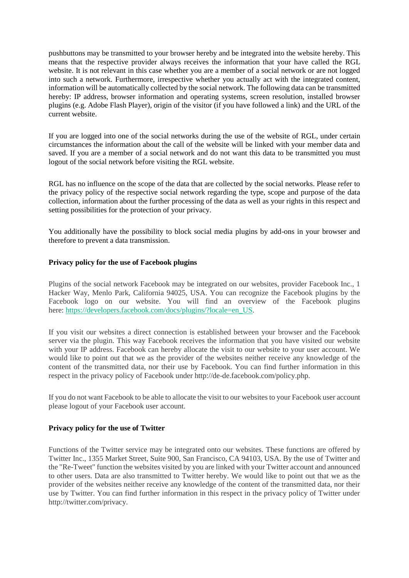pushbuttons may be transmitted to your browser hereby and be integrated into the website hereby. This means that the respective provider always receives the information that your have called the RGL website. It is not relevant in this case whether you are a member of a social network or are not logged into such a network. Furthermore, irrespective whether you actually act with the integrated content, information will be automatically collected by the social network. The following data can be transmitted hereby: IP address, browser information and operating systems, screen resolution, installed browser plugins (e.g. Adobe Flash Player), origin of the visitor (if you have followed a link) and the URL of the current website.

If you are logged into one of the social networks during the use of the website of RGL, under certain circumstances the information about the call of the website will be linked with your member data and saved. If you are a member of a social network and do not want this data to be transmitted you must logout of the social network before visiting the RGL website.

RGL has no influence on the scope of the data that are collected by the social networks. Please refer to the privacy policy of the respective social network regarding the type, scope and purpose of the data collection, information about the further processing of the data as well as your rights in this respect and setting possibilities for the protection of your privacy.

You additionally have the possibility to block social media plugins by add-ons in your browser and therefore to prevent a data transmission.

# **Privacy policy for the use of Facebook plugins**

Plugins of the social network Facebook may be integrated on our websites, provider Facebook Inc., 1 Hacker Way, Menlo Park, California 94025, USA. You can recognize the Facebook plugins by the Facebook logo on our website. You will find an overview of the Facebook plugins here: [https://developers.facebook.com/docs/plugins/?locale=en\\_US.](https://developers.facebook.com/docs/plugins/?locale=en_US)

If you visit our websites a direct connection is established between your browser and the Facebook server via the plugin. This way Facebook receives the information that you have visited our website with your IP address. Facebook can hereby allocate the visit to our website to your user account. We would like to point out that we as the provider of the websites neither receive any knowledge of the content of the transmitted data, nor their use by Facebook. You can find further information in this respect in the privacy policy of Facebook under http://de-de.facebook.com/policy.php.

If you do not want Facebook to be able to allocate the visit to our websites to your Facebook user account please logout of your Facebook user account.

## **Privacy policy for the use of Twitter**

Functions of the Twitter service may be integrated onto our websites. These functions are offered by Twitter Inc., 1355 Market Street, Suite 900, San Francisco, CA 94103, USA. By the use of Twitter and the "Re-Tweet" function the websites visited by you are linked with your Twitter account and announced to other users. Data are also transmitted to Twitter hereby. We would like to point out that we as the provider of the websites neither receive any knowledge of the content of the transmitted data, nor their use by Twitter. You can find further information in this respect in the privacy policy of Twitter under http://twitter.com/privacy.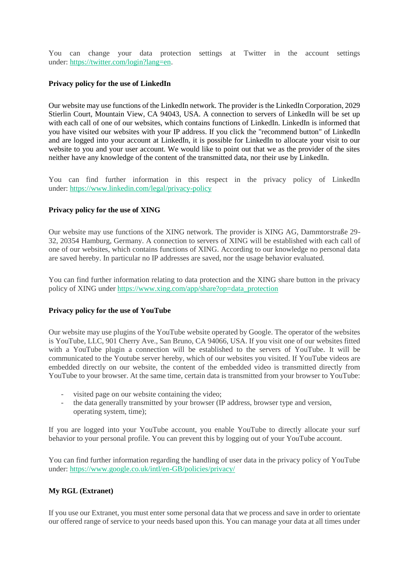You can change your data protection settings at Twitter in the account settings under: [https://twitter.com/login?lang=en.](https://twitter.com/login?lang=en)

## **Privacy policy for the use of LinkedIn**

Our website may use functions of the LinkedIn network. The provider is the LinkedIn Corporation, 2029 Stierlin Court, Mountain View, CA 94043, USA. A connection to servers of LinkedIn will be set up with each call of one of our websites, which contains functions of LinkedIn. LinkedIn is informed that you have visited our websites with your IP address. If you click the "recommend button" of LinkedIn and are logged into your account at LinkedIn, it is possible for LinkedIn to allocate your visit to our website to you and your user account. We would like to point out that we as the provider of the sites neither have any knowledge of the content of the transmitted data, nor their use by LinkedIn.

You can find further information in this respect in the privacy policy of LinkedIn under: <https://www.linkedin.com/legal/privacy-policy>

# **Privacy policy for the use of XING**

Our website may use functions of the XING network. The provider is XING AG, Dammtorstraße 29- 32, 20354 Hamburg, Germany. A connection to servers of XING will be established with each call of one of our websites, which contains functions of XING. According to our knowledge no personal data are saved hereby. In particular no IP addresses are saved, nor the usage behavior evaluated.

You can find further information relating to data protection and the XING share button in the privacy policy of XING under [https://www.xing.com/app/share?op=data\\_protection](https://www.xing.com/app/share?op=data_protection)

## **Privacy policy for the use of YouTube**

Our website may use plugins of the YouTube website operated by Google. The operator of the websites is YouTube, LLC, 901 Cherry Ave., San Bruno, CA 94066, USA. If you visit one of our websites fitted with a YouTube plugin a connection will be established to the servers of YouTube. It will be communicated to the Youtube server hereby, which of our websites you visited. If YouTube videos are embedded directly on our website, the content of the embedded video is transmitted directly from YouTube to your browser. At the same time, certain data is transmitted from your browser to YouTube:

- visited page on our website containing the video;
- the data generally transmitted by your browser (IP address, browser type and version, operating system, time);

If you are logged into your YouTube account, you enable YouTube to directly allocate your surf behavior to your personal profile. You can prevent this by logging out of your YouTube account.

You can find further information regarding the handling of user data in the privacy policy of YouTube under: <https://www.google.co.uk/intl/en-GB/policies/privacy/>

# **My RGL (Extranet)**

If you use our Extranet, you must enter some personal data that we process and save in order to orientate our offered range of service to your needs based upon this. You can manage your data at all times under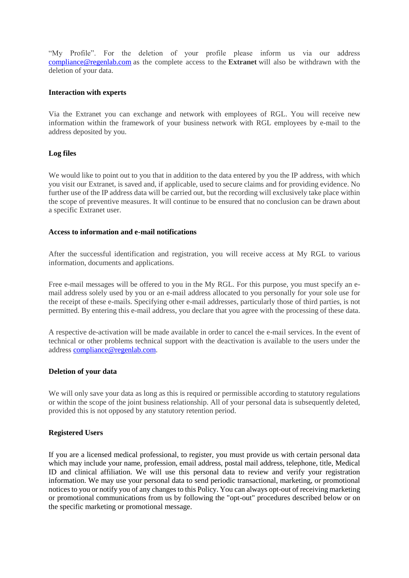"My Profile". For the deletion of your profile please inform us via our address [compliance@regenlab.com](mailto:compliance@regenlab.com) as the complete access to the **Extranet** will also be withdrawn with the deletion of your data.

### **Interaction with experts**

Via the Extranet you can exchange and network with employees of RGL. You will receive new information within the framework of your business network with RGL employees by e-mail to the address deposited by you.

#### **Log files**

We would like to point out to you that in addition to the data entered by you the IP address, with which you visit our Extranet, is saved and, if applicable, used to secure claims and for providing evidence. No further use of the IP address data will be carried out, but the recording will exclusively take place within the scope of preventive measures. It will continue to be ensured that no conclusion can be drawn about a specific Extranet user.

### **Access to information and e-mail notifications**

After the successful identification and registration, you will receive access at My RGL to various information, documents and applications.

Free e-mail messages will be offered to you in the My RGL. For this purpose, you must specify an email address solely used by you or an e-mail address allocated to you personally for your sole use for the receipt of these e-mails. Specifying other e-mail addresses, particularly those of third parties, is not permitted. By entering this e-mail address, you declare that you agree with the processing of these data.

A respective de-activation will be made available in order to cancel the e-mail services. In the event of technical or other problems technical support with the deactivation is available to the users under the address [compliance@regenlab.com.](mailto:compliance@regenlab.com)

## **Deletion of your data**

We will only save your data as long as this is required or permissible according to statutory regulations or within the scope of the joint business relationship. All of your personal data is subsequently deleted, provided this is not opposed by any statutory retention period.

## **Registered Users**

If you are a licensed medical professional, to register, you must provide us with certain personal data which may include your name, profession, email address, postal mail address, telephone, title, Medical ID and clinical affiliation. We will use this personal data to review and verify your registration information. We may use your personal data to send periodic transactional, marketing, or promotional notices to you or notify you of any changes to this Policy. You can always opt-out of receiving marketing or promotional communications from us by following the "opt-out" procedures described below or on the specific marketing or promotional message.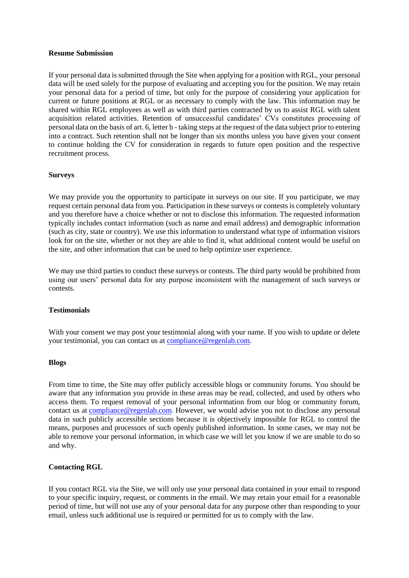### **Resume Submission**

If your personal data is submitted through the Site when applying for a position with RGL, your personal data will be used solely for the purpose of evaluating and accepting you for the position. We may retain your personal data for a period of time, but only for the purpose of considering your application for current or future positions at RGL or as necessary to comply with the law. This information may be shared within RGL employees as well as with third parties contracted by us to assist RGL with talent acquisition related activities. Retention of unsuccessful candidates' CVs constitutes processing of personal data on the basis of art. 6, letter b - taking steps at the request of the data subject prior to entering into a contract. Such retention shall not be longer than six months unless you have given your consent to continue holding the CV for consideration in regards to future open position and the respective recruitment process.

## **Surveys**

We may provide you the opportunity to participate in surveys on our site. If you participate, we may request certain personal data from you. Participation in these surveys or contests is completely voluntary and you therefore have a choice whether or not to disclose this information. The requested information typically includes contact information (such as name and email address) and demographic information (such as city, state or country). We use this information to understand what type of information visitors look for on the site, whether or not they are able to find it, what additional content would be useful on the site, and other information that can be used to help optimize user experience.

We may use third parties to conduct these surveys or contests. The third party would be prohibited from using our users' personal data for any purpose inconsistent with the management of such surveys or contests.

## **Testimonials**

With your consent we may post your testimonial along with your name. If you wish to update or delete your testimonial, you can contact us at [compliance@regenlab.com.](mailto:compliance@regenlab.com)

#### **Blogs**

From time to time, the Site may offer publicly accessible blogs or community forums. You should be aware that any information you provide in these areas may be read, collected, and used by others who access them. To request removal of your personal information from our blog or community forum, contact us at [compliance@regenlab.com.](mailto:compliance@regenlab.com) However, we would advise you not to disclose any personal data in such publicly accessible sections because it is objectively impossible for RGL to control the means, purposes and processors of such openly published information. In some cases, we may not be able to remove your personal information, in which case we will let you know if we are unable to do so and why.

## **Contacting RGL**

If you contact RGL via the Site, we will only use your personal data contained in your email to respond to your specific inquiry, request, or comments in the email. We may retain your email for a reasonable period of time, but will not use any of your personal data for any purpose other than responding to your email, unless such additional use is required or permitted for us to comply with the law.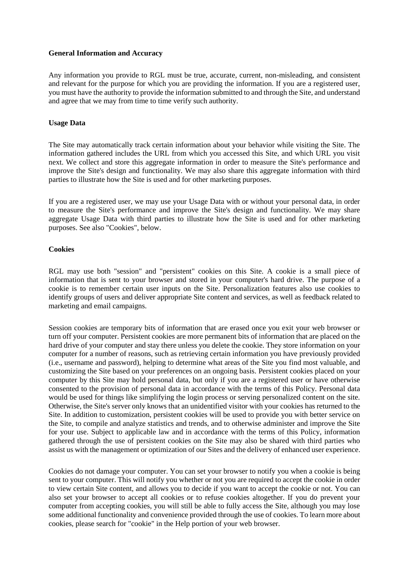#### **General Information and Accuracy**

Any information you provide to RGL must be true, accurate, current, non-misleading, and consistent and relevant for the purpose for which you are providing the information. If you are a registered user, you must have the authority to provide the information submitted to and through the Site, and understand and agree that we may from time to time verify such authority.

### **Usage Data**

The Site may automatically track certain information about your behavior while visiting the Site. The information gathered includes the URL from which you accessed this Site, and which URL you visit next. We collect and store this aggregate information in order to measure the Site's performance and improve the Site's design and functionality. We may also share this aggregate information with third parties to illustrate how the Site is used and for other marketing purposes.

If you are a registered user, we may use your Usage Data with or without your personal data, in order to measure the Site's performance and improve the Site's design and functionality. We may share aggregate Usage Data with third parties to illustrate how the Site is used and for other marketing purposes. See also "Cookies", below.

#### **Cookies**

RGL may use both "session" and "persistent" cookies on this Site. A cookie is a small piece of information that is sent to your browser and stored in your computer's hard drive. The purpose of a cookie is to remember certain user inputs on the Site. Personalization features also use cookies to identify groups of users and deliver appropriate Site content and services, as well as feedback related to marketing and email campaigns.

Session cookies are temporary bits of information that are erased once you exit your web browser or turn off your computer. Persistent cookies are more permanent bits of information that are placed on the hard drive of your computer and stay there unless you delete the cookie. They store information on your computer for a number of reasons, such as retrieving certain information you have previously provided (i.e., username and password), helping to determine what areas of the Site you find most valuable, and customizing the Site based on your preferences on an ongoing basis. Persistent cookies placed on your computer by this Site may hold personal data, but only if you are a registered user or have otherwise consented to the provision of personal data in accordance with the terms of this Policy. Personal data would be used for things like simplifying the login process or serving personalized content on the site. Otherwise, the Site's server only knows that an unidentified visitor with your cookies has returned to the Site. In addition to customization, persistent cookies will be used to provide you with better service on the Site, to compile and analyze statistics and trends, and to otherwise administer and improve the Site for your use. Subject to applicable law and in accordance with the terms of this Policy, information gathered through the use of persistent cookies on the Site may also be shared with third parties who assist us with the management or optimization of our Sites and the delivery of enhanced user experience.

Cookies do not damage your computer. You can set your browser to notify you when a cookie is being sent to your computer. This will notify you whether or not you are required to accept the cookie in order to view certain Site content, and allows you to decide if you want to accept the cookie or not. You can also set your browser to accept all cookies or to refuse cookies altogether. If you do prevent your computer from accepting cookies, you will still be able to fully access the Site, although you may lose some additional functionality and convenience provided through the use of cookies. To learn more about cookies, please search for "cookie" in the Help portion of your web browser.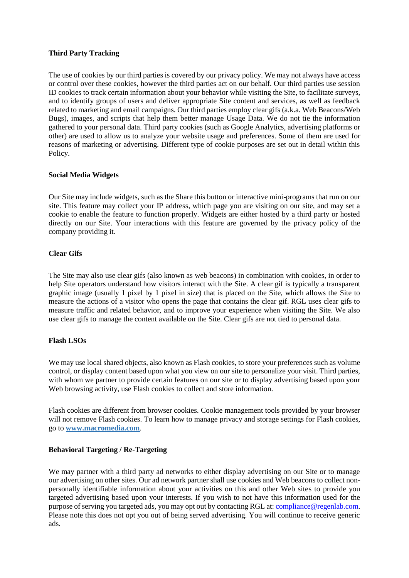# **Third Party Tracking**

The use of cookies by our third parties is covered by our privacy policy. We may not always have access or control over these cookies, however the third parties act on our behalf. Our third parties use session ID cookies to track certain information about your behavior while visiting the Site, to facilitate surveys, and to identify groups of users and deliver appropriate Site content and services, as well as feedback related to marketing and email campaigns. Our third parties employ clear gifs (a.k.a. Web Beacons/Web Bugs), images, and scripts that help them better manage Usage Data. We do not tie the information gathered to your personal data. Third party cookies (such as Google Analytics, advertising platforms or other) are used to allow us to analyze your website usage and preferences. Some of them are used for reasons of marketing or advertising. Different type of cookie purposes are set out in detail within this Policy.

## **Social Media Widgets**

Our Site may include widgets, such as the Share this button or interactive mini-programs that run on our site. This feature may collect your IP address, which page you are visiting on our site, and may set a cookie to enable the feature to function properly. Widgets are either hosted by a third party or hosted directly on our Site. Your interactions with this feature are governed by the privacy policy of the company providing it.

## **Clear Gifs**

The Site may also use clear gifs (also known as web beacons) in combination with cookies, in order to help Site operators understand how visitors interact with the Site. A clear gif is typically a transparent graphic image (usually 1 pixel by 1 pixel in size) that is placed on the Site, which allows the Site to measure the actions of a visitor who opens the page that contains the clear gif. RGL uses clear gifs to measure traffic and related behavior, and to improve your experience when visiting the Site. We also use clear gifs to manage the content available on the Site. Clear gifs are not tied to personal data.

## **Flash LSOs**

We may use local shared objects, also known as Flash cookies, to store your preferences such as volume control, or display content based upon what you view on our site to personalize your visit. Third parties, with whom we partner to provide certain features on our site or to display advertising based upon your Web browsing activity, use Flash cookies to collect and store information.

Flash cookies are different from browser cookies. Cookie management tools provided by your browser will not remove Flash cookies. To learn how to manage privacy and storage settings for Flash cookies, go to **[www.macromedia.com](http://www.macromedia.com/)**.

## **Behavioral Targeting / Re-Targeting**

We may partner with a third party ad networks to either display advertising on our Site or to manage our advertising on other sites. Our ad network partner shall use cookies and Web beacons to collect nonpersonally identifiable information about your activities on this and other Web sites to provide you targeted advertising based upon your interests. If you wish to not have this information used for the purpose of serving you targeted ads, you may opt out by contacting RGL at: [compliance@regenlab.com.](mailto:compliance@regenlab.com) Please note this does not opt you out of being served advertising. You will continue to receive generic ads.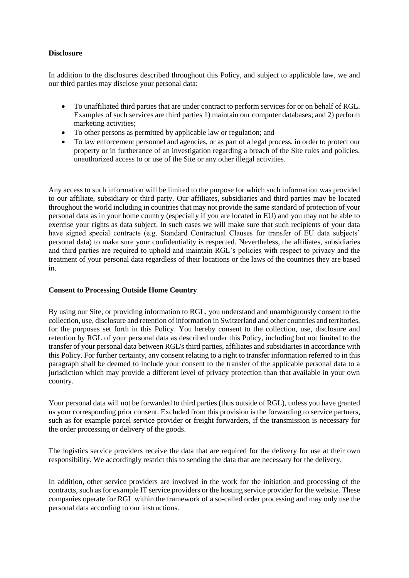# **Disclosure**

In addition to the disclosures described throughout this Policy, and subject to applicable law, we and our third parties may disclose your personal data:

- To unaffiliated third parties that are under contract to perform services for or on behalf of RGL. Examples of such services are third parties 1) maintain our computer databases; and 2) perform marketing activities;
- To other persons as permitted by applicable law or regulation; and
- To law enforcement personnel and agencies, or as part of a legal process, in order to protect our property or in furtherance of an investigation regarding a breach of the Site rules and policies, unauthorized access to or use of the Site or any other illegal activities.

Any access to such information will be limited to the purpose for which such information was provided to our affiliate, subsidiary or third party. Our affiliates, subsidiaries and third parties may be located throughout the world including in countries that may not provide the same standard of protection of your personal data as in your home country (especially if you are located in EU) and you may not be able to exercise your rights as data subject. In such cases we will make sure that such recipients of your data have signed special contracts (e.g. Standard Contractual Clauses for transfer of EU data subjects' personal data) to make sure your confidentiality is respected. Nevertheless, the affiliates, subsidiaries and third parties are required to uphold and maintain RGL's policies with respect to privacy and the treatment of your personal data regardless of their locations or the laws of the countries they are based in.

## **Consent to Processing Outside Home Country**

By using our Site, or providing information to RGL, you understand and unambiguously consent to the collection, use, disclosure and retention of information in Switzerland and other countries and territories, for the purposes set forth in this Policy. You hereby consent to the collection, use, disclosure and retention by RGL of your personal data as described under this Policy, including but not limited to the transfer of your personal data between RGL's third parties, affiliates and subsidiaries in accordance with this Policy. For further certainty, any consent relating to a right to transfer information referred to in this paragraph shall be deemed to include your consent to the transfer of the applicable personal data to a jurisdiction which may provide a different level of privacy protection than that available in your own country.

Your personal data will not be forwarded to third parties (thus outside of RGL), unless you have granted us your corresponding prior consent. Excluded from this provision is the forwarding to service partners, such as for example parcel service provider or freight forwarders, if the transmission is necessary for the order processing or delivery of the goods.

The logistics service providers receive the data that are required for the delivery for use at their own responsibility. We accordingly restrict this to sending the data that are necessary for the delivery.

In addition, other service providers are involved in the work for the initiation and processing of the contracts, such as for example IT service providers or the hosting service provider for the website. These companies operate for RGL within the framework of a so-called order processing and may only use the personal data according to our instructions.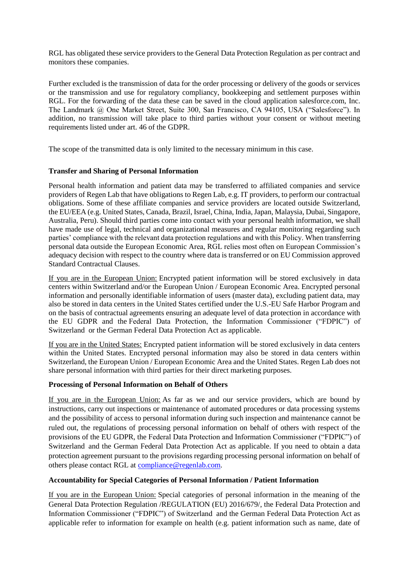RGL has obligated these service providers to the General Data Protection Regulation as per contract and monitors these companies.

Further excluded is the transmission of data for the order processing or delivery of the goods or services or the transmission and use for regulatory compliancy, bookkeeping and settlement purposes within RGL. For the forwarding of the data these can be saved in the cloud application salesforce.com, Inc. The Landmark @ One Market Street, Suite 300, San Francisco, CA 94105, USA ("Salesforce"). In addition, no transmission will take place to third parties without your consent or without meeting requirements listed under art. 46 of the GDPR.

The scope of the transmitted data is only limited to the necessary minimum in this case.

# **Transfer and Sharing of Personal Information**

Personal health information and patient data may be transferred to affiliated companies and service providers of Regen Lab that have obligations to Regen Lab, e.g. IT providers, to perform our contractual obligations. Some of these affiliate companies and service providers are located outside Switzerland, the EU/EEA (e.g. United States, Canada, Brazil, Israel, China, India, Japan, Malaysia, Dubai, Singapore, Australia, Peru). Should third parties come into contact with your personal health information, we shall have made use of legal, technical and organizational measures and regular monitoring regarding such parties' compliance with the relevant data protection regulations and with this Policy. When transferring personal data outside the European Economic Area, RGL relies most often on European Commission's adequacy decision with respect to the country where data is transferred or on EU Commission approved Standard Contractual Clauses.

If you are in the European Union: Encrypted patient information will be stored exclusively in data centers within Switzerland and/or the European Union / European Economic Area. Encrypted personal information and personally identifiable information of users (master data), excluding patient data, may also be stored in data centers in the United States certified under the U.S.-EU Safe Harbor Program and on the basis of contractual agreements ensuring an adequate level of data protection in accordance with the EU GDPR and the Federal Data Protection, the Information Commissioner ("FDPIC") of Switzerland or the German Federal Data Protection Act as applicable.

If you are in the United States: Encrypted patient information will be stored exclusively in data centers within the United States. Encrypted personal information may also be stored in data centers within Switzerland, the European Union / European Economic Area and the United States. Regen Lab does not share personal information with third parties for their direct marketing purposes.

# **Processing of Personal Information on Behalf of Others**

If you are in the European Union: As far as we and our service providers, which are bound by instructions, carry out inspections or maintenance of automated procedures or data processing systems and the possibility of access to personal information during such inspection and maintenance cannot be ruled out, the regulations of processing personal information on behalf of others with respect of the provisions of the EU GDPR, the Federal Data Protection and Information Commissioner ("FDPIC") of Switzerland and the German Federal Data Protection Act as applicable. If you need to obtain a data protection agreement pursuant to the provisions regarding processing personal information on behalf of others please contact RGL at [compliance@regenlab.com.](mailto:compliance@regenlab.com)

# **Accountability for Special Categories of Personal Information / Patient Information**

If you are in the European Union: Special categories of personal information in the meaning of the General Data Protection Regulation /REGULATION (EU) 2016/679/, the Federal Data Protection and Information Commissioner ("FDPIC") of Switzerland and the German Federal Data Protection Act as applicable refer to information for example on health (e.g. patient information such as name, date of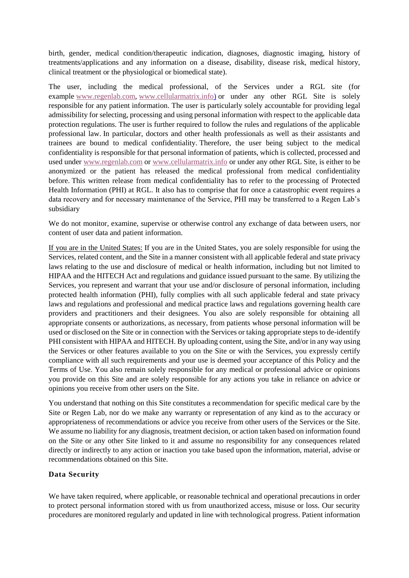birth, gender, medical condition/therapeutic indication, diagnoses, diagnostic imaging, history of treatments/applications and any information on a disease, disability, disease risk, medical history, clinical treatment or the physiological or biomedical state).

The user, including the medical professional, of the Services under a RGL site (for example [www.regenlab.com,](http://www.regenlab.com/) [www.cellularmatrix.info\)](http://www.cellularmatrix.com/) or under any other RGL Site is solely responsible for any patient information. The user is particularly solely accountable for providing legal admissibility for selecting, processing and using personal information with respect to the applicable data protection regulations. The user is further required to follow the rules and regulations of the applicable professional law. In particular, doctors and other health professionals as well as their assistants and trainees are bound to medical confidentiality. Therefore, the user being subject to the medical confidentiality is responsible for that personal information of patients, which is collected, processed and used under [www.regenlab.com](http://www.regenlab.com/) or [www.cellularmatrix.info](http://www.cellularmatrix.info/) or under any other RGL Site, is either to be anonymized or the patient has released the medical professional from medical confidentiality before. This written release from medical confidentiality has to refer to the processing of Protected Health Information (PHI) at RGL. It also has to comprise that for once a catastrophic event requires a data recovery and for necessary maintenance of the Service, PHI may be transferred to a Regen Lab's subsidiary

We do not monitor, examine, supervise or otherwise control any exchange of data between users, nor content of user data and patient information.

If you are in the United States: If you are in the United States, you are solely responsible for using the Services, related content, and the Site in a manner consistent with all applicable federal and state privacy laws relating to the use and disclosure of medical or health information, including but not limited to HIPAA and the HITECH Act and regulations and guidance issued pursuant to the same. By utilizing the Services, you represent and warrant that your use and/or disclosure of personal information, including protected health information (PHI), fully complies with all such applicable federal and state privacy laws and regulations and professional and medical practice laws and regulations governing health care providers and practitioners and their designees. You also are solely responsible for obtaining all appropriate consents or authorizations, as necessary, from patients whose personal information will be used or disclosed on the Site or in connection with the Services or taking appropriate steps to de-identify PHI consistent with HIPAA and HITECH. By uploading content, using the Site, and/or in any way using the Services or other features available to you on the Site or with the Services, you expressly certify compliance with all such requirements and your use is deemed your acceptance of this Policy and the Terms of Use. You also remain solely responsible for any medical or professional advice or opinions you provide on this Site and are solely responsible for any actions you take in reliance on advice or opinions you receive from other users on the Site.

You understand that nothing on this Site constitutes a recommendation for specific medical care by the Site or Regen Lab, nor do we make any warranty or representation of any kind as to the accuracy or appropriateness of recommendations or advice you receive from other users of the Services or the Site. We assume no liability for any diagnosis, treatment decision, or action taken based on information found on the Site or any other Site linked to it and assume no responsibility for any consequences related directly or indirectly to any action or inaction you take based upon the information, material, advise or recommendations obtained on this Site.

## **Data Security**

We have taken required, where applicable, or reasonable technical and operational precautions in order to protect personal information stored with us from unauthorized access, misuse or loss. Our security procedures are monitored regularly and updated in line with technological progress. Patient information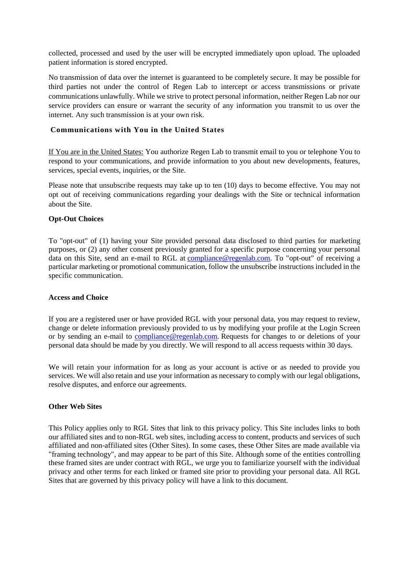collected, processed and used by the user will be encrypted immediately upon upload. The uploaded patient information is stored encrypted.

No transmission of data over the internet is guaranteed to be completely secure. It may be possible for third parties not under the control of Regen Lab to intercept or access transmissions or private communications unlawfully. While we strive to protect personal information, neither Regen Lab nor our service providers can ensure or warrant the security of any information you transmit to us over the internet. Any such transmission is at your own risk.

# **Communications with You in the United States**

If You are in the United States: You authorize Regen Lab to transmit email to you or telephone You to respond to your communications, and provide information to you about new developments, features, services, special events, inquiries, or the Site.

Please note that unsubscribe requests may take up to ten (10) days to become effective. You may not opt out of receiving communications regarding your dealings with the Site or technical information about the Site.

## **Opt-Out Choices**

To "opt-out" of (1) having your Site provided personal data disclosed to third parties for marketing purposes, or (2) any other consent previously granted for a specific purpose concerning your personal data on this Site, send an e-mail to RGL at [compliance@regenlab.com.](mailto:compliance@regenlab.com) To "opt-out" of receiving a particular marketing or promotional communication, follow the unsubscribe instructions included in the specific communication.

## **Access and Choice**

If you are a registered user or have provided RGL with your personal data, you may request to review, change or delete information previously provided to us by modifying your profile at the Login Screen or by sending an e-mail to [compliance@regenlab.com.](mailto:compliance@regenlab.com) Requests for changes to or deletions of your personal data should be made by you directly. We will respond to all access requests within 30 days.

We will retain your information for as long as your account is active or as needed to provide you services. We will also retain and use your information as necessary to comply with our legal obligations, resolve disputes, and enforce our agreements.

## **Other Web Sites**

This Policy applies only to RGL Sites that link to this privacy policy. This Site includes links to both our affiliated sites and to non-RGL web sites, including access to content, products and services of such affiliated and non-affiliated sites (Other Sites). In some cases, these Other Sites are made available via "framing technology", and may appear to be part of this Site. Although some of the entities controlling these framed sites are under contract with RGL, we urge you to familiarize yourself with the individual privacy and other terms for each linked or framed site prior to providing your personal data. All RGL Sites that are governed by this privacy policy will have a link to this document.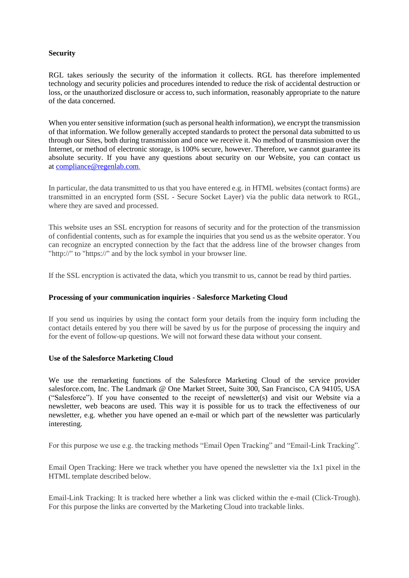## **Security**

RGL takes seriously the security of the information it collects. RGL has therefore implemented technology and security policies and procedures intended to reduce the risk of accidental destruction or loss, or the unauthorized disclosure or access to, such information, reasonably appropriate to the nature of the data concerned.

When you enter sensitive information (such as personal health information), we encrypt the transmission of that information. We follow generally accepted standards to protect the personal data submitted to us through our Sites, both during transmission and once we receive it. No method of transmission over the Internet, or method of electronic storage, is 100% secure, however. Therefore, we cannot guarantee its absolute security. If you have any questions about security on our Website, you can contact us at [compliance@regenlab.com.](mailto:compliance@regenlab.com)

In particular, the data transmitted to us that you have entered e.g. in HTML websites (contact forms) are transmitted in an encrypted form (SSL - Secure Socket Layer) via the public data network to RGL, where they are saved and processed.

This website uses an SSL encryption for reasons of security and for the protection of the transmission of confidential contents, such as for example the inquiries that you send us as the website operator. You can recognize an encrypted connection by the fact that the address line of the browser changes from "http://" to "https://" and by the lock symbol in your browser line.

If the SSL encryption is activated the data, which you transmit to us, cannot be read by third parties.

## **Processing of your communication inquiries - Salesforce Marketing Cloud**

If you send us inquiries by using the contact form your details from the inquiry form including the contact details entered by you there will be saved by us for the purpose of processing the inquiry and for the event of follow-up questions. We will not forward these data without your consent.

## **Use of the Salesforce Marketing Cloud**

We use the remarketing functions of the Salesforce Marketing Cloud of the service provider salesforce.com, Inc. The Landmark @ One Market Street, Suite 300, San Francisco, CA 94105, USA ("Salesforce"). If you have consented to the receipt of newsletter(s) and visit our Website via a newsletter, web beacons are used. This way it is possible for us to track the effectiveness of our newsletter, e.g. whether you have opened an e-mail or which part of the newsletter was particularly interesting.

For this purpose we use e.g. the tracking methods "Email Open Tracking" and "Email-Link Tracking".

Email Open Tracking: Here we track whether you have opened the newsletter via the 1x1 pixel in the HTML template described below.

Email-Link Tracking: It is tracked here whether a link was clicked within the e-mail (Click-Trough). For this purpose the links are converted by the Marketing Cloud into trackable links.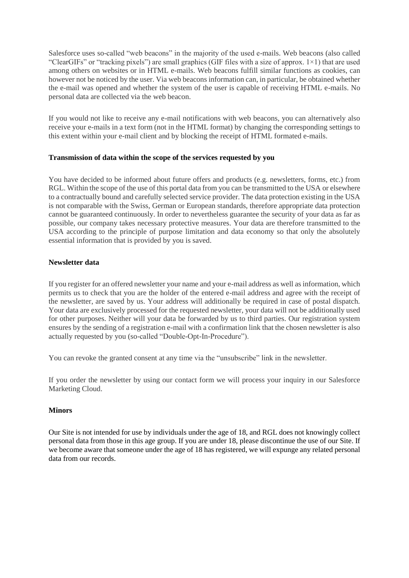Salesforce uses so-called "web beacons" in the majority of the used e-mails. Web beacons (also called "ClearGIFs" or "tracking pixels") are small graphics (GIF files with a size of approx. 1×1) that are used among others on websites or in HTML e-mails. Web beacons fulfill similar functions as cookies, can however not be noticed by the user. Via web beacons information can, in particular, be obtained whether the e-mail was opened and whether the system of the user is capable of receiving HTML e-mails. No personal data are collected via the web beacon.

If you would not like to receive any e-mail notifications with web beacons, you can alternatively also receive your e-mails in a text form (not in the HTML format) by changing the corresponding settings to this extent within your e-mail client and by blocking the receipt of HTML formated e-mails.

# **Transmission of data within the scope of the services requested by you**

You have decided to be informed about future offers and products (e.g. newsletters, forms, etc.) from RGL. Within the scope of the use of this portal data from you can be transmitted to the USA or elsewhere to a contractually bound and carefully selected service provider. The data protection existing in the USA is not comparable with the Swiss, German or European standards, therefore appropriate data protection cannot be guaranteed continuously. In order to nevertheless guarantee the security of your data as far as possible, our company takes necessary protective measures. Your data are therefore transmitted to the USA according to the principle of purpose limitation and data economy so that only the absolutely essential information that is provided by you is saved.

# **Newsletter data**

If you register for an offered newsletter your name and your e-mail address as well as information, which permits us to check that you are the holder of the entered e-mail address and agree with the receipt of the newsletter, are saved by us. Your address will additionally be required in case of postal dispatch. Your data are exclusively processed for the requested newsletter, your data will not be additionally used for other purposes. Neither will your data be forwarded by us to third parties. Our registration system ensures by the sending of a registration e-mail with a confirmation link that the chosen newsletter is also actually requested by you (so-called "Double-Opt-In-Procedure").

You can revoke the granted consent at any time via the "unsubscribe" link in the newsletter.

If you order the newsletter by using our contact form we will process your inquiry in our Salesforce Marketing Cloud.

## **Minors**

Our Site is not intended for use by individuals under the age of 18, and RGL does not knowingly collect personal data from those in this age group. If you are under 18, please discontinue the use of our Site. If we become aware that someone under the age of 18 has registered, we will expunge any related personal data from our records.